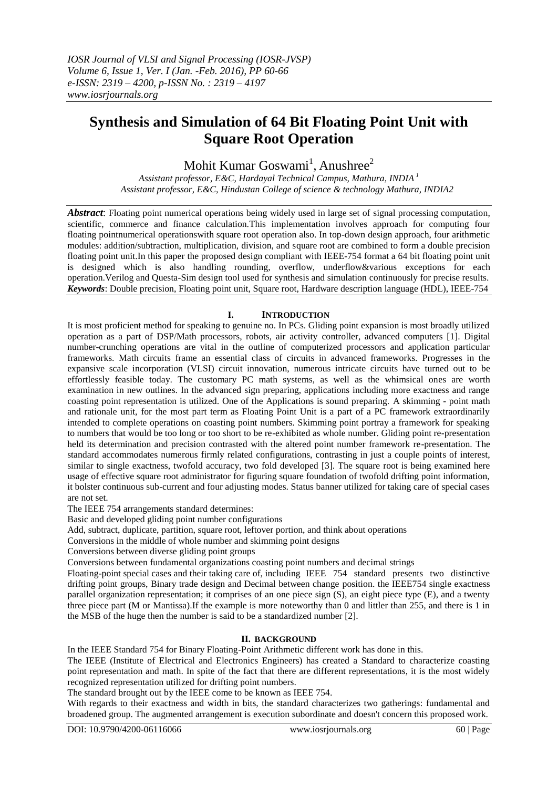# **Synthesis and Simulation of 64 Bit Floating Point Unit with Square Root Operation**

Mohit Kumar Goswami<sup>1</sup>, Anushree<sup>2</sup>

*Assistant professor, E&C, Hardayal Technical Campus, Mathura, INDIA <sup>1</sup> Assistant professor, E&C, Hindustan College of science & technology Mathura, INDIA2*

*Abstract*: Floating point numerical operations being widely used in large set of signal processing computation, scientific, commerce and finance calculation.This implementation involves approach for computing four floating pointnumerical operationswith square root operation also. In top-down design approach, four arithmetic modules: addition/subtraction, multiplication, division, and square root are combined to form a double precision floating point unit.In this paper the proposed design compliant with IEEE-754 format a 64 bit floating point unit is designed which is also handling rounding, overflow, underflow&various exceptions for each operation.Verilog and Questa-Sim design tool used for synthesis and simulation continuously for precise results. *Keywords*: Double precision, Floating point unit, Square root, Hardware description language (HDL), IEEE-754

# **I. INTRODUCTION**

It is most proficient method for speaking to genuine no. In PCs. Gliding point expansion is most broadly utilized operation as a part of DSP/Math processors, robots, air activity controller, advanced computers [1]. Digital number-crunching operations are vital in the outline of computerized processors and application particular frameworks. Math circuits frame an essential class of circuits in advanced frameworks. Progresses in the expansive scale incorporation (VLSI) circuit innovation, numerous intricate circuits have turned out to be effortlessly feasible today. The customary PC math systems, as well as the whimsical ones are worth examination in new outlines. In the advanced sign preparing, applications including more exactness and range coasting point representation is utilized. One of the Applications is sound preparing. A skimming - point math and rationale unit, for the most part term as Floating Point Unit is a part of a PC framework extraordinarily intended to complete operations on coasting point numbers. Skimming point portray a framework for speaking to numbers that would be too long or too short to be re-exhibited as whole number. Gliding point re-presentation held its determination and precision contrasted with the altered point number framework re-presentation. The standard accommodates numerous firmly related configurations, contrasting in just a couple points of interest, similar to single exactness, twofold accuracy, two fold developed [3]. The square root is being examined here usage of effective square root administrator for figuring square foundation of twofold drifting point information, it bolster continuous sub-current and four adjusting modes. Status banner utilized for taking care of special cases are not set.

The IEEE 754 arrangements standard determines:

Basic and developed gliding point number configurations

Add, subtract, duplicate, partition, square root, leftover portion, and think about operations

Conversions in the middle of whole number and skimming point designs

Conversions between diverse gliding point groups

Conversions between fundamental organizations coasting point numbers and decimal strings

Floating-point special cases and their taking care of, including IEEE 754 standard presents two distinctive drifting point groups, Binary trade design and Decimal between change position. the IEEE754 single exactness parallel organization representation; it comprises of an one piece sign (S), an eight piece type (E), and a twenty three piece part (M or Mantissa).If the example is more noteworthy than 0 and littler than 255, and there is 1 in the MSB of the huge then the number is said to be a standardized number [2].

# **II. BACKGROUND**

[In the IEEE Standard 754 for Binary Floating-Point Arithmetic different work has done in this.](https://en.wikipedia.org/wiki/IEEE_floating_point)

The IEEE (Institute of Electrical and Electronics Engineers) has created a Standard to characterize coasting point representation and math. In spite of the fact that there are different representations, it is the most widely recognized representation utilized for drifting point numbers.

The standard brought out by the IEEE come to be known as IEEE 754.

With regards to their exactness and width in bits, the standard characterizes two gatherings: fundamental and broadened group. The augmented arrangement is execution subordinate and doesn't concern this proposed work.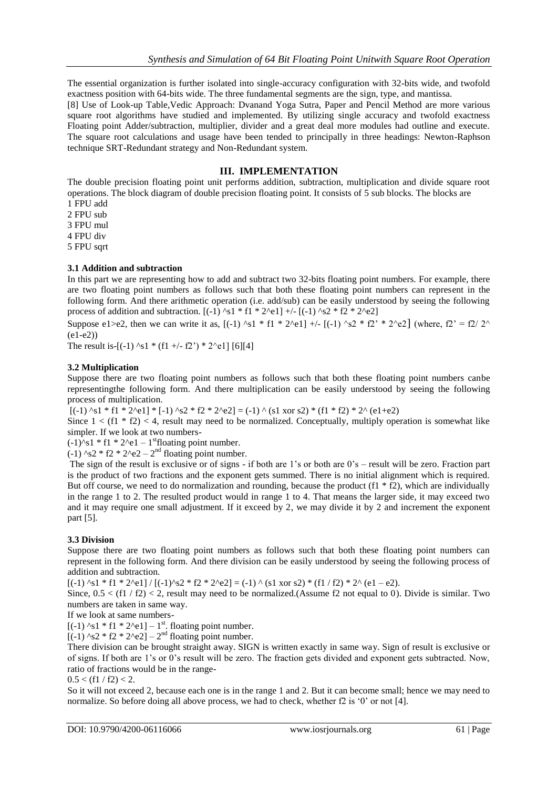The essential organization is further isolated into single-accuracy configuration with 32-bits wide, and twofold exactness position with 64-bits wide. The three fundamental segments are the sign, type, and mantissa.

[8] Use of Look-up Table,Vedic Approach: Dvanand Yoga Sutra, Paper and Pencil Method are more various square root algorithms have studied and implemented. By utilizing single accuracy and twofold exactness Floating point Adder/subtraction, multiplier, divider and a great deal more modules had outline and execute. The square root calculations and usage have been tended to principally in three headings: Newton-Raphson technique SRT-Redundant strategy and Non-Redundant system.

# **III. IMPLEMENTATION**

The double precision floating point unit performs addition, subtraction, multiplication and divide square root operations. The block diagram of double precision floating point. It consists of  $\bar{5}$  sub blocks. The blocks are 1 FPU add

2 FPU sub 3 FPU mul 4 FPU div

5 FPU sqrt

# **3.1 Addition and subtraction**

In this part we are representing how to add and subtract two 32-bits floating point numbers. For example, there are two floating point numbers as follows such that both these floating point numbers can represent in the following form. And there arithmetic operation (i.e. add/sub) can be easily understood by seeing the following process of addition and subtraction.  $[(-1)$  ^s1 \* f1 \* 2^e1] +/-  $[(-1)$  ^s2 \* f2 \* 2^e2]

Suppose e1>e2, then we can write it as,  $[(-1)$  ^s1 \* f1 \* 2^e1] +/-  $[(-1)$  ^s2 \* f2' \* 2^e2] (where, f2' = f2/ 2^ (e1-e2))

The result is-[(-1) ^s1 \* (f1 +/- f2') \* 2^e1] [6][4]

## **3.2 Multiplication**

Suppose there are two floating point numbers as follows such that both these floating point numbers canbe representingthe following form. And there multiplication can be easily understood by seeing the following process of multiplication.

 $[(-1)$  ^s1 \* f1 \* 2^e1] \* [-1) ^s2 \* f2 \* 2^e2] = (-1) ^ (s1 xor s2) \* (f1 \* f2) \* 2^ (e1+e2)

Since  $1 < (f1 * f2) < 4$ , result may need to be normalized. Conceptually, multiply operation is somewhat like simpler. If we look at two numbers-

 $(-1)$ <sup> $\lambda$ </sup>s1 \* f1 \* 2 $\lambda$ e1 – 1<sup>st</sup>floating point number.

 $(-1)$  ^s2 \* f2 \* 2^e2 – 2<sup>nd</sup> floating point number.

The sign of the result is exclusive or of signs - if both are 1"s or both are 0"s – result will be zero. Fraction part is the product of two fractions and the exponent gets summed. There is no initial alignment which is required. But off course, we need to do normalization and rounding, because the product  $(f1 * f2)$ , which are individually in the range 1 to 2. The resulted product would in range 1 to 4. That means the larger side, it may exceed two and it may require one small adjustment. If it exceed by 2, we may divide it by 2 and increment the exponent part [5].

#### **3.3 Division**

Suppose there are two floating point numbers as follows such that both these floating point numbers can represent in the following form. And there division can be easily understood by seeing the following process of addition and subtraction.

 $[(-1)$  ^s1 \* f1 \* 2^e1] /  $[(-1)$  ^s2 \* f2 \* 2^e2] = (-1) ^ (s1 xor s2) \* (f1 / f2) \* 2^ (e1 – e2).

Since,  $0.5 < (f1 / f2) < 2$ , result may need to be normalized.(Assume f2 not equal to 0). Divide is similar. Two numbers are taken in same way.

If we look at same numbers-

 $[(-1)$  ^s1 \* f1 \* 2^e1] – 1<sup>st</sup>. floating point number.

 $[(-1)$  ^s2 \* f2 \* 2^e2] – 2<sup>nd</sup> floating point number.

There division can be brought straight away. SIGN is written exactly in same way. Sign of result is exclusive or of signs. If both are 1"s or 0"s result will be zero. The fraction gets divided and exponent gets subtracted. Now, ratio of fractions would be in the range-

 $0.5 < (f1 / f2) < 2$ .

So it will not exceed 2, because each one is in the range 1 and 2. But it can become small; hence we may need to normalize. So before doing all above process, we had to check, whether f2 is '0' or not [4].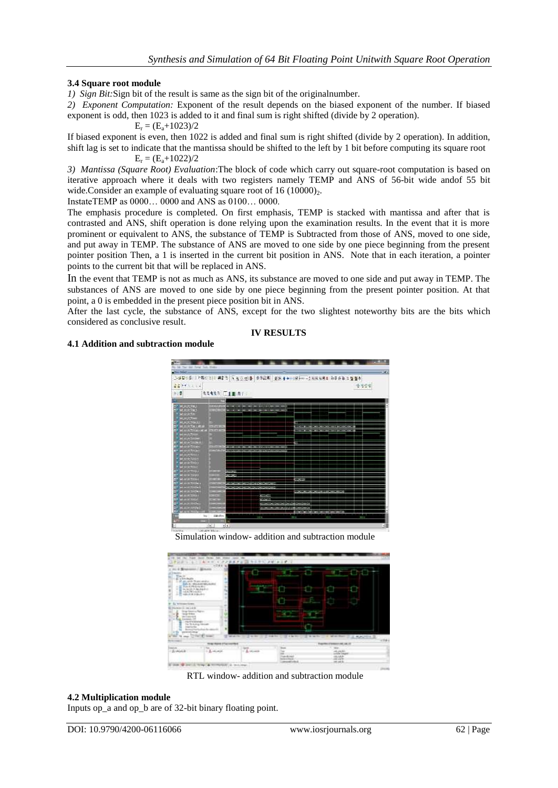# **3.4 Square root module**

*1) Sign Bit:*Sign bit of the result is same as the sign bit of the originalnumber.

*2) Exponent Computation:* Exponent of the result depends on the biased exponent of the number. If biased exponent is odd, then 1023 is added to it and final sum is right shifted (divide by 2 operation).

 $E_r = (E_a + 1023)/2$ 

If biased exponent is even, then 1022 is added and final sum is right shifted (divide by 2 operation). In addition, shift lag is set to indicate that the mantissa should be shifted to the left by 1 bit before computing its square root  $E_r = (E_a + 1022)/2$ 

*3) Mantissa (Square Root) Evaluation*:The block of code which carry out square-root computation is based on iterative approach where it deals with two registers namely TEMP and ANS of 56-bit wide andof 55 bit wide.Consider an example of evaluating square root of  $16 \ (10000)_{2}$ .

InstateTEMP as 0000… 0000 and ANS as 0100… 0000.

The emphasis procedure is completed. On first emphasis, TEMP is stacked with mantissa and after that is contrasted and ANS, shift operation is done relying upon the examination results. In the event that it is more prominent or equivalent to ANS, the substance of TEMP is Subtracted from those of ANS, moved to one side, and put away in TEMP. The substance of ANS are moved to one side by one piece beginning from the present pointer position Then, a 1 is inserted in the current bit position in ANS. Note that in each iteration, a pointer points to the current bit that will be replaced in ANS.

In the event that TEMP is not as much as ANS, its substance are moved to one side and put away in TEMP. The substances of ANS are moved to one side by one piece beginning from the present pointer position. At that point, a 0 is embedded in the present piece position bit in ANS.

After the last cycle, the substance of ANS, except for the two slightest noteworthy bits are the bits which considered as conclusive result.

## **IV RESULTS**

## **4.1 Addition and subtraction module**

|                                          |                         |                              | <b>Durch these was billing on a control of the control of the control of the control of the control of the control of the control of the control of the control of the control of the control of the control of the control of t</b> |            |
|------------------------------------------|-------------------------|------------------------------|--------------------------------------------------------------------------------------------------------------------------------------------------------------------------------------------------------------------------------------|------------|
| <b>ALDENSIA</b>                          |                         |                              |                                                                                                                                                                                                                                      | 中国型        |
|                                          |                         |                              |                                                                                                                                                                                                                                      |            |
| 全濃                                       | <b>REAST CITATION</b>   |                              |                                                                                                                                                                                                                                      |            |
|                                          |                         |                              |                                                                                                                                                                                                                                      |            |
| <b>P MARTIN</b>                          | 414115<br>6,000         |                              |                                                                                                                                                                                                                                      |            |
| œ                                        |                         |                              |                                                                                                                                                                                                                                      |            |
| MODES!                                   |                         |                              |                                                                                                                                                                                                                                      |            |
| 2222                                     |                         |                              |                                                                                                                                                                                                                                      |            |
| <b>雑量R50mm</b>                           |                         |                              |                                                                                                                                                                                                                                      |            |
| <b>MAASKINU</b>                          | <b>CENTER</b>           |                              |                                                                                                                                                                                                                                      |            |
| MOZA SHELMA<br>Muzik Shel                | <b>STATISTIC</b>        |                              |                                                                                                                                                                                                                                      |            |
|                                          |                         |                              |                                                                                                                                                                                                                                      |            |
| <b>MHATIM</b>                            |                         |                              |                                                                                                                                                                                                                                      |            |
| <b>MARINER</b>                           |                         |                              |                                                                                                                                                                                                                                      |            |
| <b>MARKETING</b><br><b>MARK OF THE R</b> | <b>STATISTICS</b>       |                              |                                                                                                                                                                                                                                      |            |
|                                          |                         |                              |                                                                                                                                                                                                                                      |            |
| <b>MESSES</b> STATES                     |                         |                              |                                                                                                                                                                                                                                      |            |
| <b>SEAN GROUN</b><br><b>MORTHLE</b>      |                         |                              |                                                                                                                                                                                                                                      |            |
| <b>MONTHS</b>                            |                         |                              |                                                                                                                                                                                                                                      |            |
| about the Third are                      | 525                     |                              |                                                                                                                                                                                                                                      |            |
| dui a tales                              | <b>County</b>           |                              |                                                                                                                                                                                                                                      |            |
| <b>CANADIAN COMPOS</b>                   |                         |                              | ---                                                                                                                                                                                                                                  |            |
| <b>COLLEGE</b>                           |                         | <b>CONTRACTOR</b> CONTRACTOR |                                                                                                                                                                                                                                      |            |
| <b>MESSEN PACKET</b>                     |                         | a control of the control of  |                                                                                                                                                                                                                                      |            |
| <b>SEPTEMBER</b>                         |                         |                              |                                                                                                                                                                                                                                      |            |
| <b>TELEVISION</b>                        |                         | --                           |                                                                                                                                                                                                                                      |            |
| <b>STATISTICS</b>                        |                         | <b>STOP</b>                  |                                                                                                                                                                                                                                      |            |
| <b>TEXT</b>                              |                         | <b>CONTRACTOR DE CARDO</b>   |                                                                                                                                                                                                                                      |            |
| <b>KINDRA</b><br>۰                       |                         | <b>CONTRACTOR</b>            | <b>Systematic</b>                                                                                                                                                                                                                    |            |
| w                                        |                         |                              |                                                                                                                                                                                                                                      |            |
|                                          | EPO <sub>3</sub><br>its | H                            | $18 - 2$<br>Ů                                                                                                                                                                                                                        | <b>IEW</b> |
|                                          | ы                       |                              |                                                                                                                                                                                                                                      |            |

Simulation window- addition and subtraction module



RTL window- addition and subtraction module

#### **4.2 Multiplication module**

Inputs op\_a and op\_b are of 32-bit binary floating point.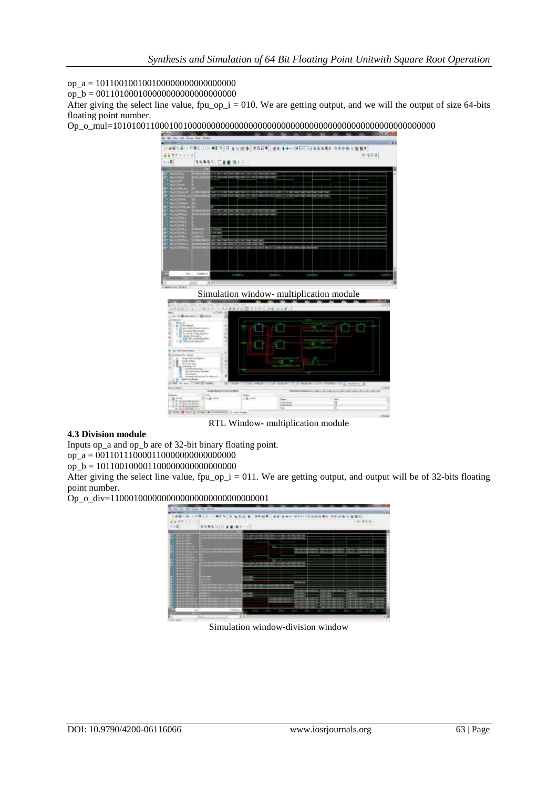op\_a = 101100100100100000000000000000

op\_b = 001101000100000000000000000000

After giving the select line value,  $fpu_op_i = 010$ . We are getting output, and we will the output of size 64-bits floating point number.

Op\_o\_mul=101010011000100100000000000000000000000000000000000000000000000000000



Simulation window- multiplication module



RTL Window- multiplication module

# **4.3 Division module**

Inputs op\_a and op\_b are of 32-bit binary floating point. op\_a = 001101110000110000000000000000

op\_b = 101100100001100000000000000000

After giving the select line value, fpu\_op\_i = 011. We are getting output, and output will be of 32-bits floating point number.

#### Op\_o\_div=1100010000000000000000000000000001



Simulation window-division window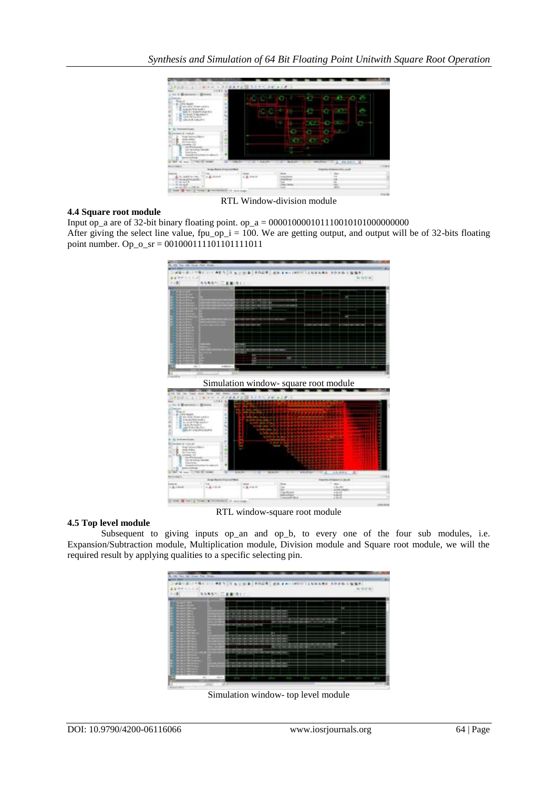

#### **4.4 Square root module**

Input op\_a are of 32-bit binary floating point. op\_a =  $000010000101110010101000000000$ After giving the select line value, fpu\_op\_i = 100. We are getting output, and output will be of 32-bits floating point number. Op\_o\_sr = 001000111101101111011



#### **4.5 Top level module**

Subsequent to giving inputs op\_an and op\_b, to every one of the four sub modules, i.e. [Expansion/Subtraction module, Multiplication module, Division module and Square root module, we will the](http://www.ijcsonline.com/IJCS/IJCS_2015_0204007.pdf)  required result by applying [qualities to a specific selecting pin.](http://www.ijcsonline.com/IJCS/IJCS_2015_0204007.pdf)



Simulation window- top level module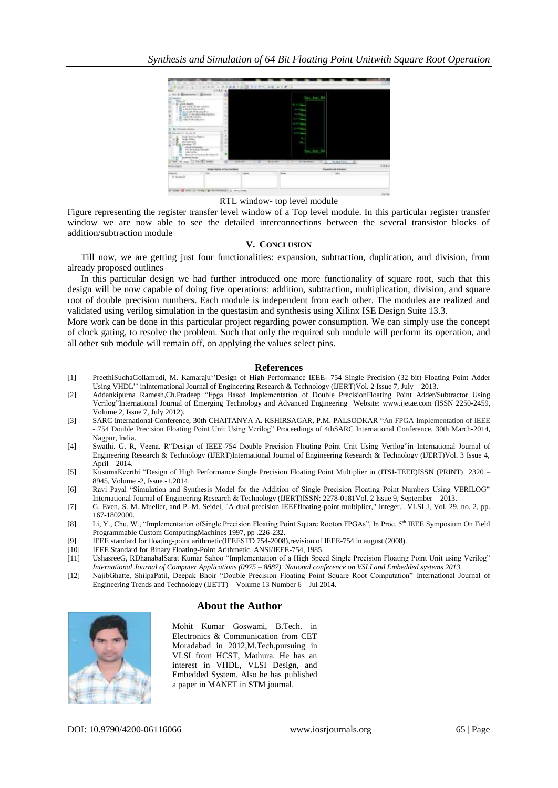

RTL window- top level module

Figure representing the register transfer level window of a Top level module. In this particular register transfer window we are now able to see the detailed interconnections between the several transistor blocks of addition/subtraction module

#### **V. CONCLUSION**

Till now, we are getting just four functionalities: expansion, subtraction, duplication, and division, from already proposed outlines

In this particular design we had further introduced one more functionality of square root, such that this design will be now capable of doing five operations: addition, subtraction, multiplication, division, and square root of double precision numbers. Each module is independent from each other. The modules are realized and validated using verilog simulation in the questasim and synthesis using Xilinx ISE Design Suite 13.3.

More work can be done in this particular project regarding power consumption. We can simply use the concept of clock gating, to resolve the problem. Such that only the required sub module will perform its operation, and all other sub module will remain off, on applying the values select pins.

#### **References**

- [1] PreethiSudhaGollamudi, M. Kamaraju""Design of High Performance IEEE- 754 Single Precision (32 bit) Floating Point Adder Using VHDL" inInternational Journal of Engineering Research & Technology (IJERT)Vol. 2 Issue 7, July – 2013.
- [2] Addankipurna Ramesh,Ch.Pradeep "Fpga Based Implementation of Double PrecisionFloating Point Adder/Subtractor Using Verilog"International Journal of Emerging Technology and Advanced Engineering Website: www.ijetae.com (ISSN 2250-2459, Volume 2, Issue 7, July 2012).
- [3] SARC International Conference, 30th CHAITANYA A. KSHIRSAGAR, P.M. PALSODKAR "An FPGA Implementation of IEEE - 754 Double Precision Floating Point Unit Using Verilog" Proceedings of 4thSARC International Conference, 30th March-2014, Nagpur, India.
- [4] Swathi. G. R, Veena. R"Design of IEEE-754 Double Precision Floating Point Unit Using Verilog"in International Journal of Engineering Research & Technology (IJERT)International Journal of Engineering Research & Technology (IJERT)Vol. 3 Issue 4, April – 2014.
- [5] KusumaKeerthi "Design of High Performance Single Precision Floating Point Multiplier in (ITSI-TEEE)ISSN (PRINT) 2320 8945, Volume -2, Issue -1,2014.
- [6] Ravi Payal "Simulation and Synthesis Model for the Addition of Single Precision Floating Point Numbers Using VERILOG" International Journal of Engineering Research & Technology (IJERT)ISSN: 2278-0181Vol. 2 Issue 9, September – 2013.
- [7] G. Even, S. M. Mueller, and P.-M. Seidel, "A dual precision IEEEfloating-point multiplier," Integer.'. VLSI J, Vol. 29, no. 2, pp. 167-1802000.
- [8] Li, Y., Chu, W., "Implementation ofSingle Precision Floating Point Square Rooton FPGAs", In Proc. 5th IEEE Symposium On Field Programmable Custom ComputingMachines 1997, pp .226-232.
- [9] IEEE standard for floating-point arithmetic(IEEESTD 754-2008), revision of IEEE-754 in august (2008).<br>[10] IEEE Standard for Binary Floating-Point Arithmetic. ANSI/IEEE-754. 1985.
- IEEE Standard for Binary Floating-Point Arithmetic, ANSI/IEEE-754, 1985.
- [11] UshasreeG, RDhanabalSarat Kumar Sahoo "Implementation of a High Speed Single Precision Floating Point Unit using Verilog" *International Journal of Computer Applications (0975 – 8887) National conference on VSLI and Embedded systems 2013.*
- [12] NajibGhatte, ShilpaPatil, Deepak Bhoir "Double Precision Floating Point Square Root Computation" International Journal of Engineering Trends and Technology (IJETT) – Volume 13 Number 6 – Jul 2014.

# **About the Author**



Mohit Kumar Goswami, B.Tech. in Electronics & Communication from CET Moradabad in 2012,M.Tech.pursuing in VLSI from HCST, Mathura. He has an interest in VHDL, VLSI Design, and Embedded System. Also he has published a paper in MANET in STM journal.